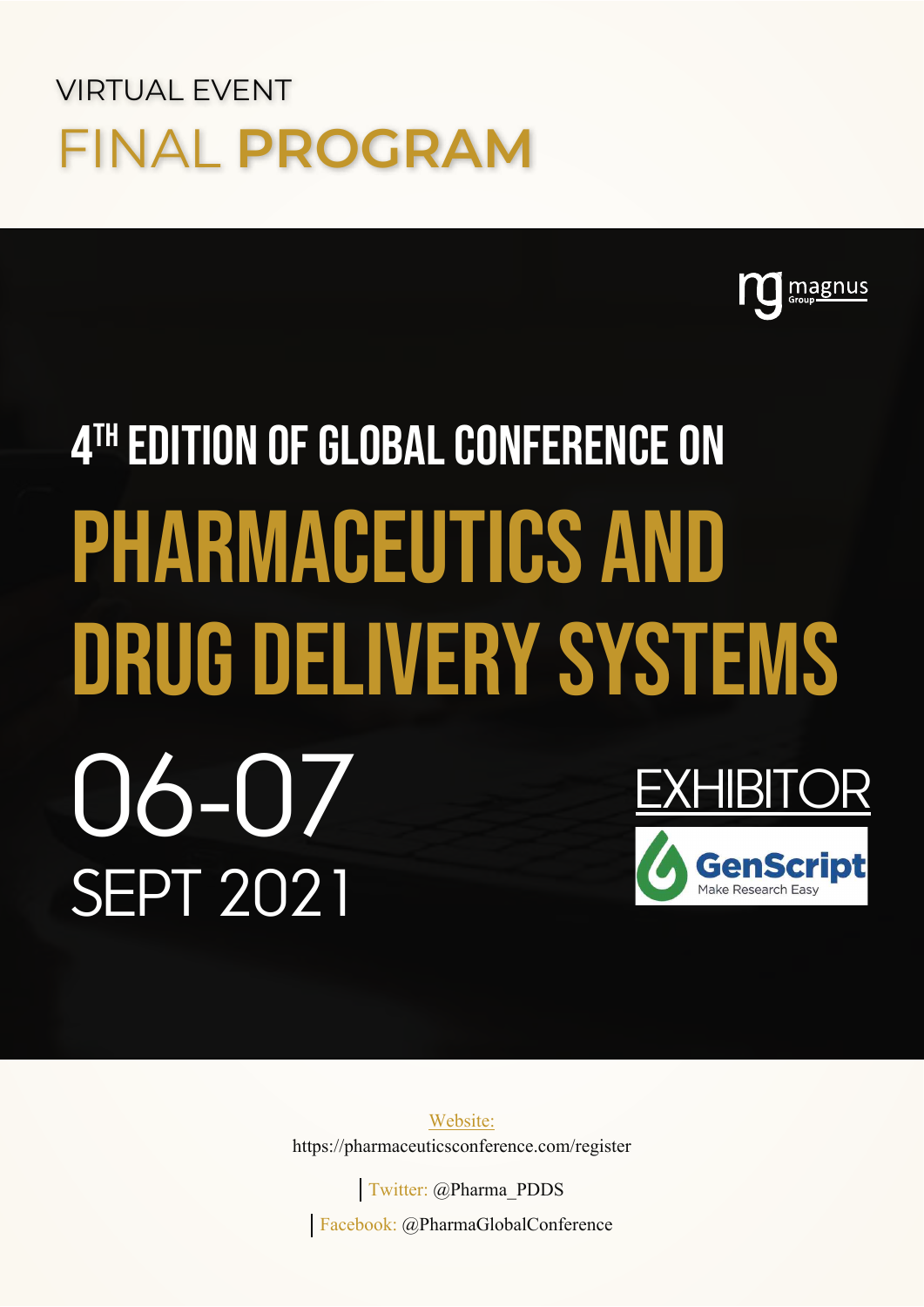## VIRTUAL EVENT FINAL **PROGRAM**



# 4TH EDITION OF GLOBAL CONFERENCE ON Pharmaceutics and Drug Delivery Systems 06-07 Sept 2021 **EXHIBITOR**

Website: https://pharmaceuticsconference.com/register

Twitter: @Pharma\_PDDS Facebook: @PharmaGlobalConference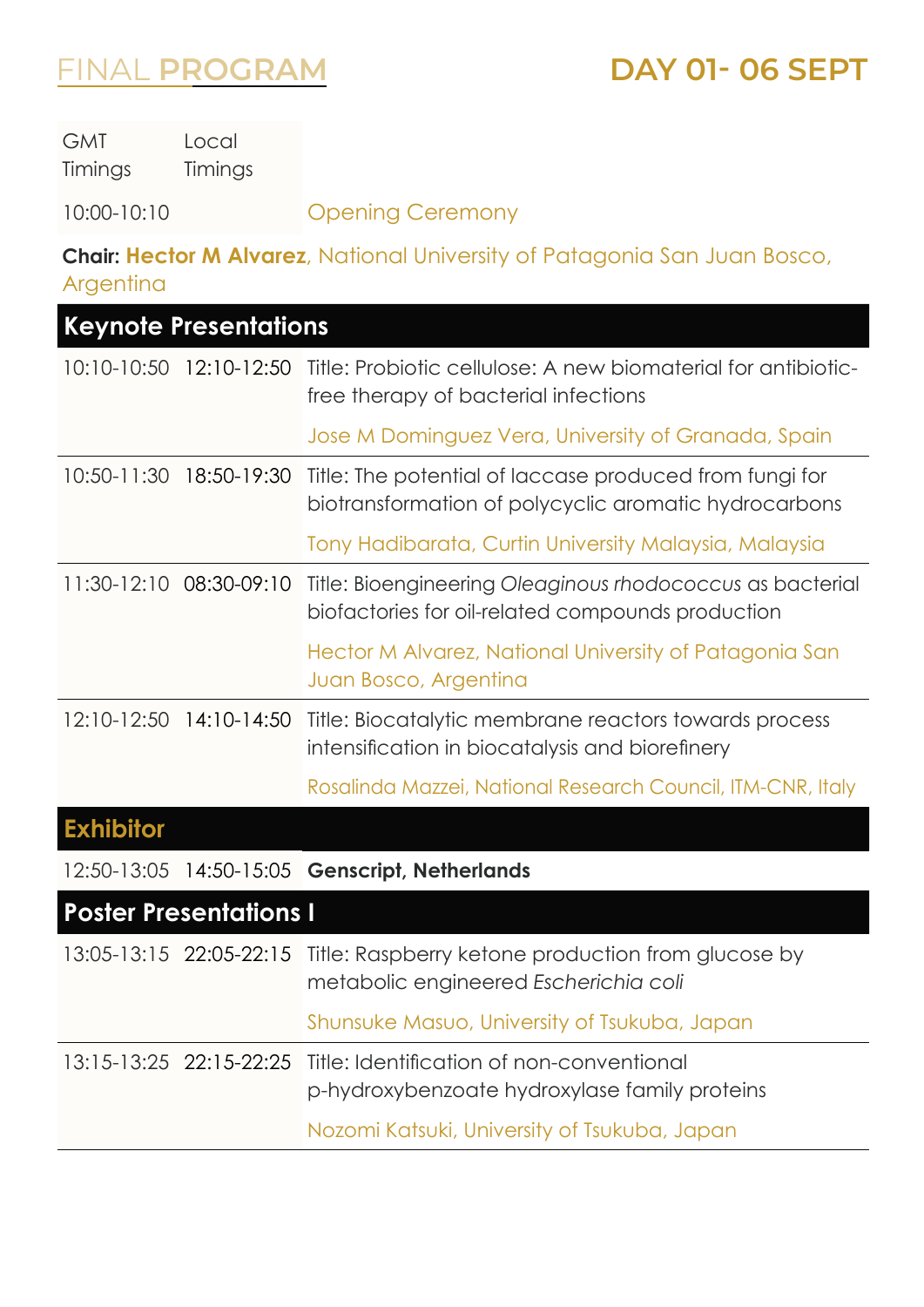**DAY 01- 06 SEPT**

| <b>GMT</b><br>Timings   | Local<br>Timings              |                                                                                                                               |
|-------------------------|-------------------------------|-------------------------------------------------------------------------------------------------------------------------------|
| 10:00-10:10             |                               | <b>Opening Ceremony</b>                                                                                                       |
| Argentina               |                               | <b>Chair: Hector M Alvarez</b> , National University of Patagonia San Juan Bosco,                                             |
|                         | <b>Keynote Presentations</b>  |                                                                                                                               |
|                         |                               | 10:10-10:50 12:10-12:50 Title: Probiotic cellulose: A new biomaterial for antibiotic-<br>free therapy of bacterial infections |
|                         |                               | Jose M Dominguez Vera, University of Granada, Spain                                                                           |
| $10:50 - 11:30$         | 18:50-19:30                   | Title: The potential of laccase produced from fungi for<br>biotransformation of polycyclic aromatic hydrocarbons              |
|                         |                               | Tony Hadibarata, Curtin University Malaysia, Malaysia                                                                         |
| 11:30-12:10 08:30-09:10 |                               | Title: Bioengineering Oleaginous rhodococcus as bacterial<br>biofactories for oil-related compounds production                |
|                         |                               | Hector M Alvarez, National University of Patagonia San<br>Juan Bosco, Argentina                                               |
| 12:10-12:50             | 14:10-14:50                   | Title: Biocatalytic membrane reactors towards process<br>intensification in biocatalysis and biorefinery                      |
|                         |                               | Rosalinda Mazzei, National Research Council, ITM-CNR, Italy                                                                   |
| <b>Exhibitor</b>        |                               |                                                                                                                               |
|                         |                               | 12:50-13:05 14:50-15:05 Genscript, Netherlands                                                                                |
|                         | <b>Poster Presentations I</b> |                                                                                                                               |
|                         |                               | 13:05-13:15 22:05-22:15 Title: Raspberry ketone production from glucose by<br>metabolic engineered Escherichia coli           |
|                         |                               | Shunsuke Masuo, University of Tsukuba, Japan                                                                                  |
|                         | 13:15-13:25 22:15-22:25       | Title: Identification of non-conventional<br>p-hydroxybenzoate hydroxylase family proteins                                    |
|                         |                               | Nozomi Katsuki, University of Tsukuba, Japan                                                                                  |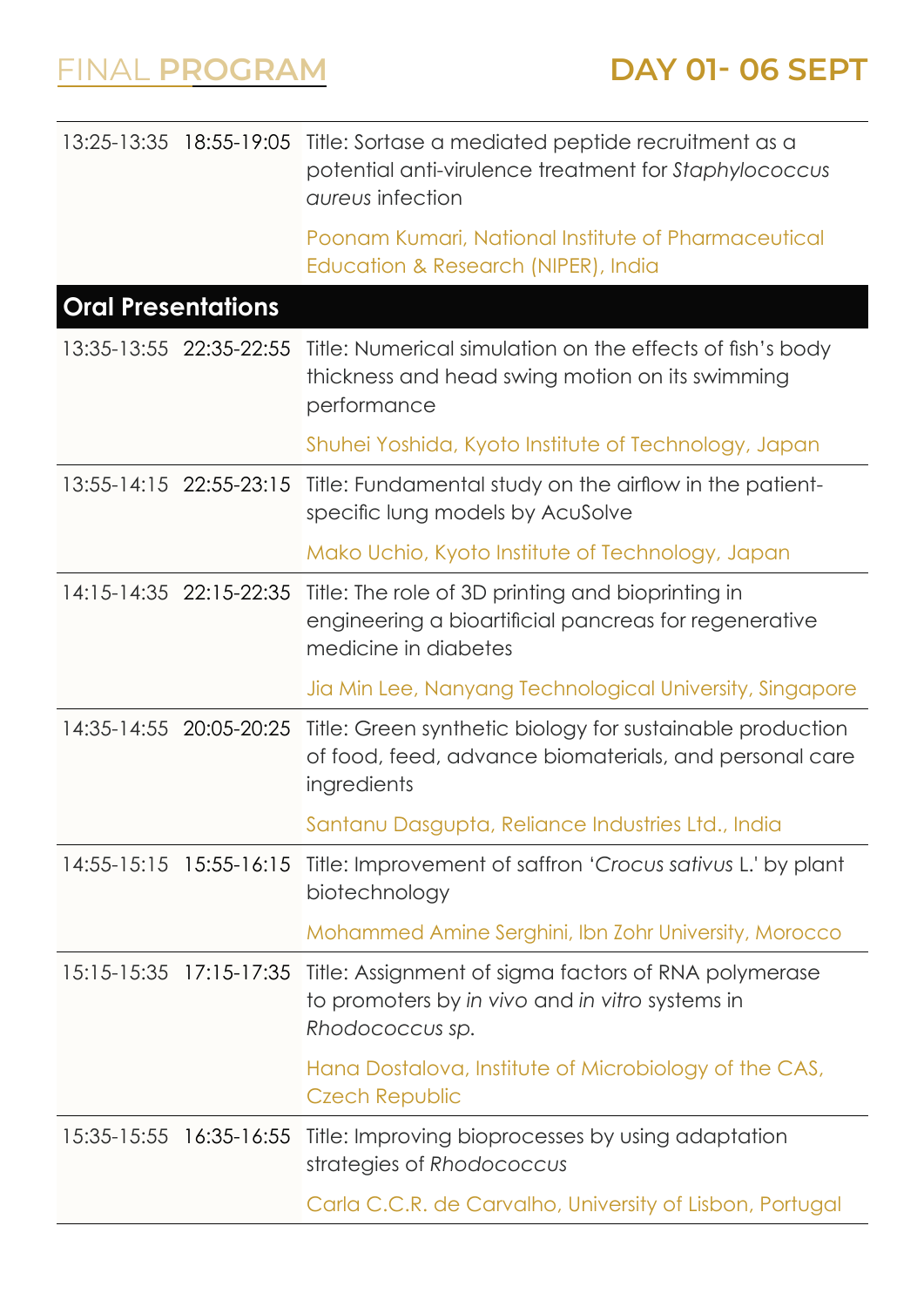|                           |                         | 13:25-13:35 18:55-19:05 Title: Sortase a mediated peptide recruitment as a<br>potential anti-virulence treatment for Staphylococcus<br><i>aureus</i> infection |
|---------------------------|-------------------------|----------------------------------------------------------------------------------------------------------------------------------------------------------------|
|                           |                         | Poonam Kumari, National Institute of Pharmaceutical<br>Education & Research (NIPER), India                                                                     |
| <b>Oral Presentations</b> |                         |                                                                                                                                                                |
|                           | 13:35-13:55 22:35-22:55 | Title: Numerical simulation on the effects of fish's body<br>thickness and head swing motion on its swimming<br>performance                                    |
|                           |                         | Shuhei Yoshida, Kyoto Institute of Technology, Japan                                                                                                           |
|                           | 13:55-14:15 22:55-23:15 | Title: Fundamental study on the airflow in the patient-<br>specific lung models by AcuSolve                                                                    |
|                           |                         | Mako Uchio, Kyoto Institute of Technology, Japan                                                                                                               |
|                           | 14:15-14:35 22:15-22:35 | Title: The role of 3D printing and bioprinting in<br>engineering a bioartificial pancreas for regenerative<br>medicine in diabetes                             |
|                           |                         | Jia Min Lee, Nanyang Technological University, Singapore                                                                                                       |
|                           | 14:35-14:55 20:05-20:25 | Title: Green synthetic biology for sustainable production<br>of food, feed, advance biomaterials, and personal care<br>ingredients                             |
|                           |                         | Santanu Dasgupta, Reliance Industries Ltd., India                                                                                                              |
|                           | 14:55-15:15 15:55-16:15 | Title: Improvement of saffron 'Crocus sativus L.' by plant<br>biotechnology                                                                                    |
|                           |                         | Mohammed Amine Serghini, Ibn Zohr University, Morocco                                                                                                          |
|                           | 15:15-15:35 17:15-17:35 | Title: Assignment of sigma factors of RNA polymerase<br>to promoters by in vivo and in vitro systems in<br>Rhodococcus sp.                                     |
|                           |                         | Hana Dostalova, Institute of Microbiology of the CAS,<br><b>Czech Republic</b>                                                                                 |
| 15:35-15:55 16:35-16:55   |                         |                                                                                                                                                                |
|                           |                         | Title: Improving bioprocesses by using adaptation<br>strategies of Rhodococcus                                                                                 |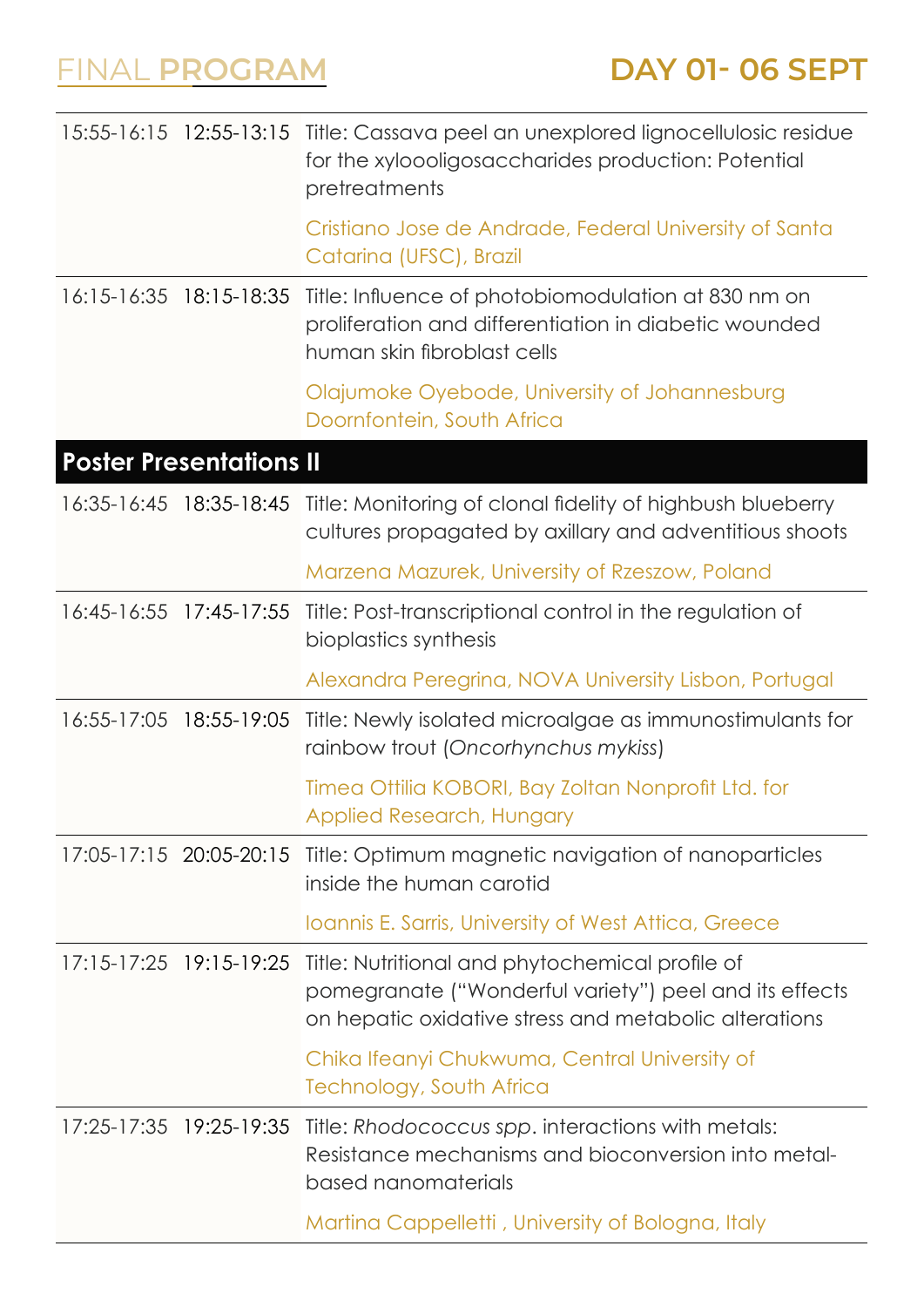|             |                                | 15:55-16:15 12:55-13:15 Title: Cassava peel an unexplored lignocellulosic residue<br>for the xyloooligosaccharides production: Potential<br>pretreatments          |
|-------------|--------------------------------|--------------------------------------------------------------------------------------------------------------------------------------------------------------------|
|             |                                | Cristiano Jose de Andrade, Federal University of Santa<br>Catarina (UFSC), Brazil                                                                                  |
|             | 16:15-16:35  18:15-18:35       | Title: Influence of photobiomodulation at 830 nm on<br>proliferation and differentiation in diabetic wounded<br>human skin fibroblast cells                        |
|             |                                | Olajumoke Oyebode, University of Johannesburg<br>Doornfontein, South Africa                                                                                        |
|             | <b>Poster Presentations II</b> |                                                                                                                                                                    |
|             |                                | 16:35-16:45 18:35-18:45 Title: Monitoring of clonal fidelity of highbush blueberry<br>cultures propagated by axillary and adventitious shoots                      |
|             |                                | Marzena Mazurek, University of Rzeszow, Poland                                                                                                                     |
|             | 16:45-16:55 17:45-17:55        | Title: Post-transcriptional control in the regulation of<br>bioplastics synthesis                                                                                  |
|             |                                | Alexandra Peregrina, NOVA University Lisbon, Portugal                                                                                                              |
| 16:55-17:05 | 18:55-19:05                    | Title: Newly isolated microalgae as immunostimulants for<br>rainbow trout (Oncorhynchus mykiss)                                                                    |
|             |                                | Timea Ottilia KOBORI, Bay Zoltan Nonprofit Ltd. for<br>Applied Research, Hungary                                                                                   |
|             |                                | 17:05-17:15 20:05-20:15 Title: Optimum magnetic navigation of nanoparticles<br>inside the human carotid                                                            |
|             |                                | <b>Ioannis E. Sarris, University of West Attica, Greece</b>                                                                                                        |
|             | 17:15-17:25 19:15-19:25        | Title: Nutritional and phytochemical profile of<br>pomegranate ("Wonderful variety") peel and its effects<br>on hepatic oxidative stress and metabolic alterations |
|             |                                | Chika Ifeanyi Chukwuma, Central University of<br><b>Technology, South Africa</b>                                                                                   |
|             | 17:25-17:35 19:25-19:35        | Title: Rhodococcus spp. interactions with metals:<br>Resistance mechanisms and bioconversion into metal-<br>based nanomaterials                                    |
|             |                                | Martina Cappelletti, University of Bologna, Italy                                                                                                                  |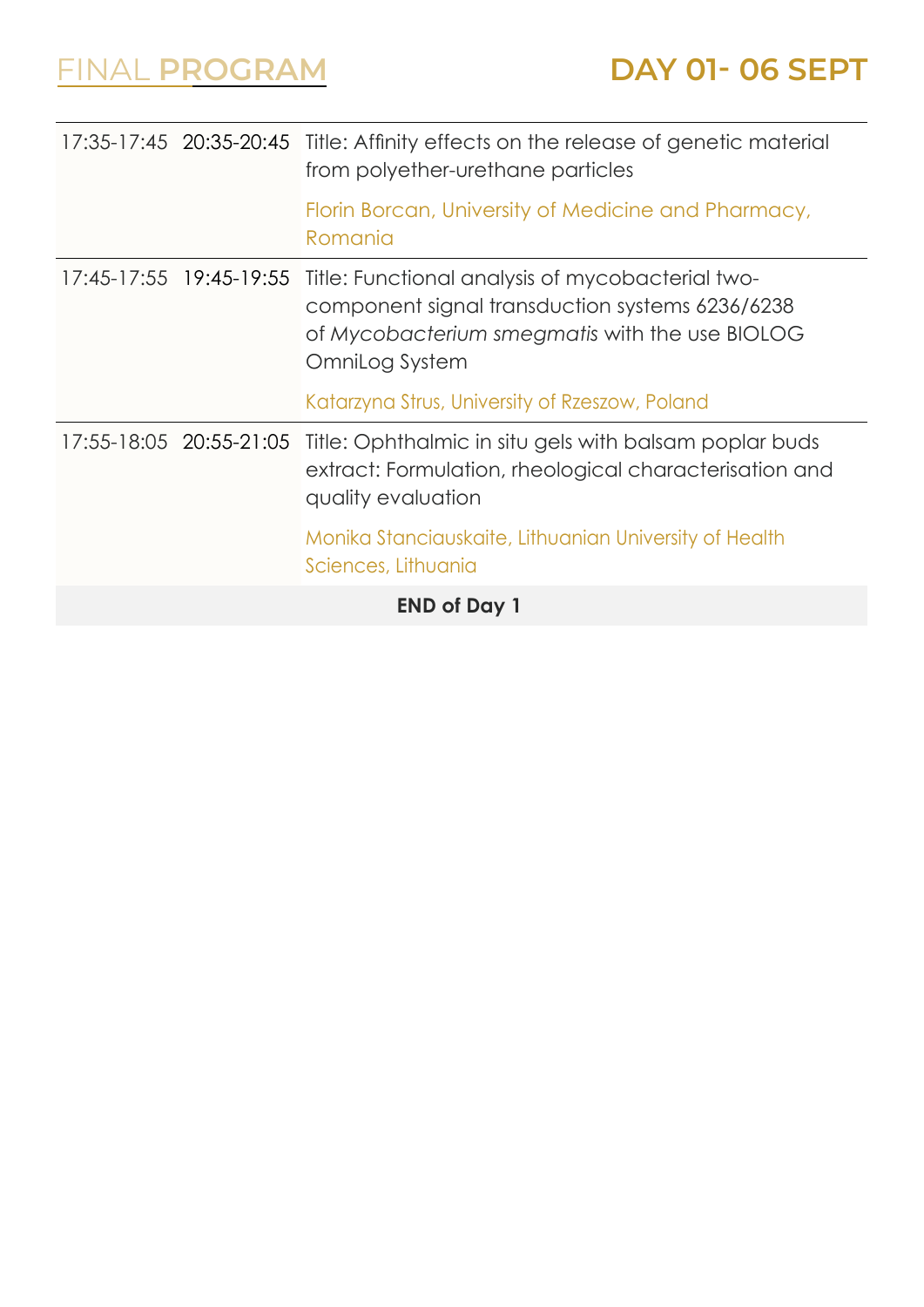| <b>END of Day 1</b>     |                                                                                                                                                                         |  |
|-------------------------|-------------------------------------------------------------------------------------------------------------------------------------------------------------------------|--|
|                         | Monika Stanciauskaite, Lithuanian University of Health<br>Sciences, Lithuania                                                                                           |  |
| 17:55-18:05 20:55-21:05 | Title: Ophthalmic in situ gels with balsam poplar buds<br>extract: Formulation, rheological characterisation and<br>quality evaluation                                  |  |
|                         | Katarzyna Strus, University of Rzeszow, Poland                                                                                                                          |  |
| 17:45-17:55 19:45-19:55 | Title: Functional analysis of mycobacterial two-<br>component signal transduction systems 6236/6238<br>of Mycobacterium smegmatis with the use BIOLOG<br>OmniLog System |  |
|                         | Florin Borcan, University of Medicine and Pharmacy,<br>Romania                                                                                                          |  |
|                         | 17:35-17:45 20:35-20:45 Title: Affinity effects on the release of genetic material<br>from polyether-urethane particles                                                 |  |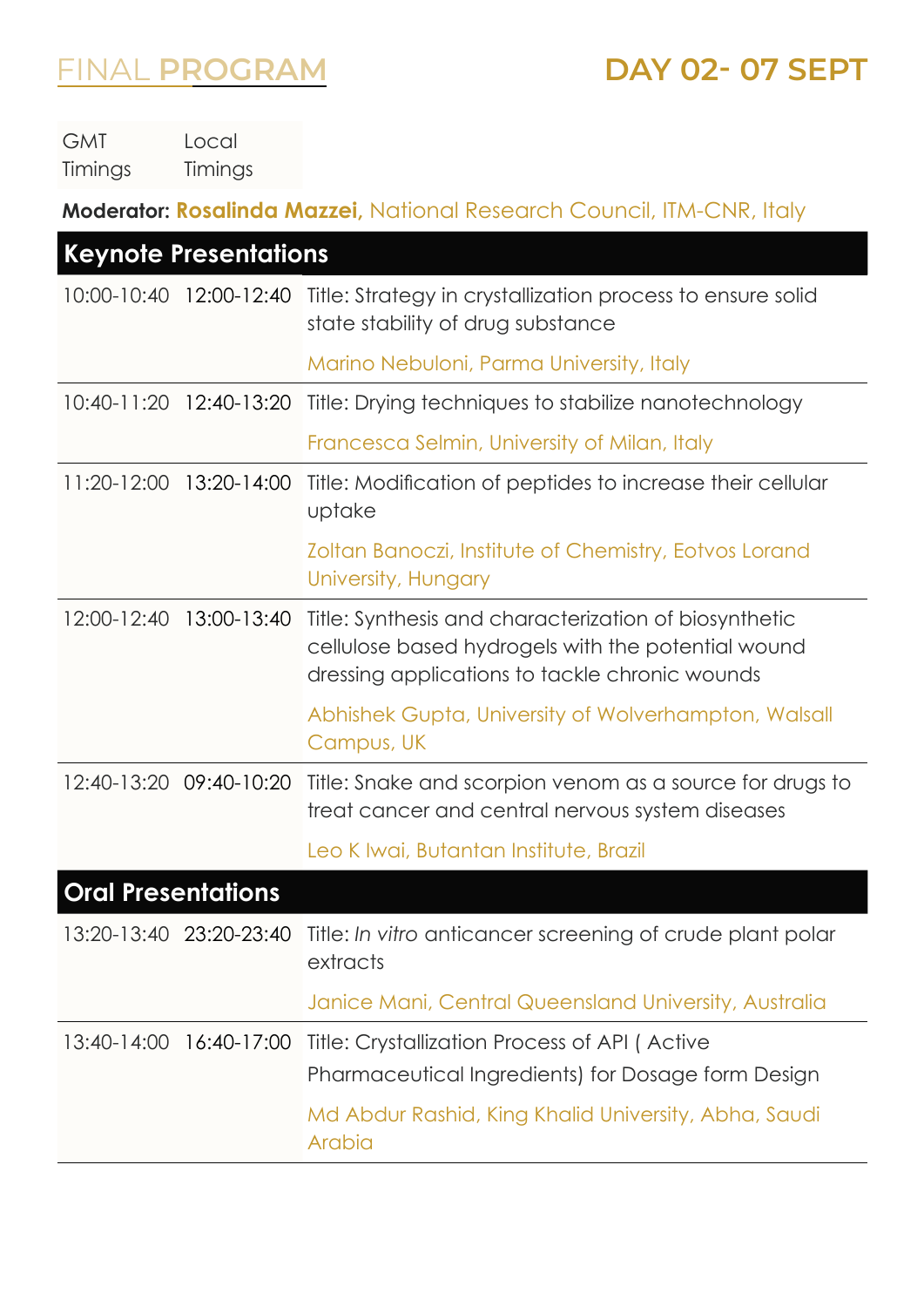#### FINAL **PROGRAM DAY 02- 07 SEPT**

GMT Timings Local Timings

**Moderator: Rosalinda Mazzei,** National Research Council, ITM-CNR, Italy

| <b>Keynote Presentations</b> |                         |                                                                                                                                                               |
|------------------------------|-------------------------|---------------------------------------------------------------------------------------------------------------------------------------------------------------|
| 10:00-10:40                  | 12:00-12:40             | Title: Strategy in crystallization process to ensure solid<br>state stability of drug substance                                                               |
|                              |                         | Marino Nebuloni, Parma University, Italy                                                                                                                      |
| $10:40 - 11:20$              | 12:40-13:20             | Title: Drying techniques to stabilize nanotechnology                                                                                                          |
|                              |                         | Francesca Selmin, University of Milan, Italy                                                                                                                  |
| $11:20-12:00$                | 13:20-14:00             | Title: Modification of peptides to increase their cellular<br>uptake                                                                                          |
|                              |                         | Zoltan Banoczi, Institute of Chemistry, Eotvos Lorand<br>University, Hungary                                                                                  |
| 12:00-12:40                  | 13:00-13:40             | Title: Synthesis and characterization of biosynthetic<br>cellulose based hydrogels with the potential wound<br>dressing applications to tackle chronic wounds |
|                              |                         | Abhishek Gupta, University of Wolverhampton, Walsall<br>Campus, UK                                                                                            |
|                              | 12:40-13:20 09:40-10:20 | Title: Snake and scorpion venom as a source for drugs to<br>treat cancer and central nervous system diseases                                                  |
|                              |                         | Leo K Iwai, Butantan Institute, Brazil                                                                                                                        |
| <b>Oral Presentations</b>    |                         |                                                                                                                                                               |
|                              |                         | 13:20-13:40 23:20-23:40 Title: In vitro anticancer screening of crude plant polar<br>extracts                                                                 |
|                              |                         | Janice Mani, Central Queensland University, Australia                                                                                                         |
|                              | 13:40-14:00 16:40-17:00 | Title: Crystallization Process of API (Active                                                                                                                 |
|                              |                         | Pharmaceutical Ingredients) for Dosage form Design                                                                                                            |
|                              |                         | Md Abdur Rashid, King Khalid University, Abha, Saudi<br>Arabia                                                                                                |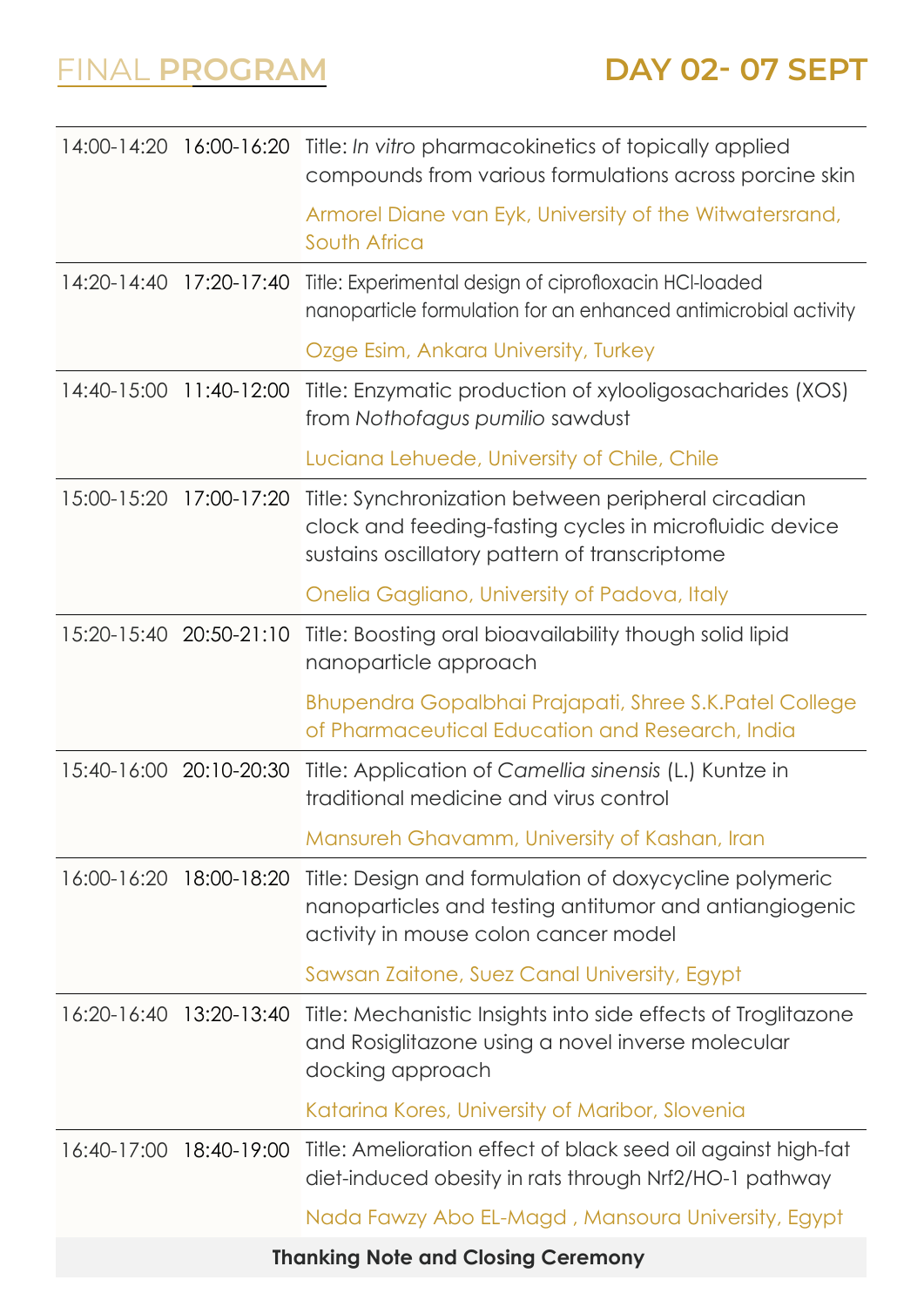|                                           |                         | 14:00-14:20 16:00-16:20 Title: In vitro pharmacokinetics of topically applied<br>compounds from various formulations across porcine skin                        |
|-------------------------------------------|-------------------------|-----------------------------------------------------------------------------------------------------------------------------------------------------------------|
|                                           |                         | Armorel Diane van Eyk, University of the Witwatersrand,<br>South Africa                                                                                         |
|                                           | 14:20-14:40 17:20-17:40 | Title: Experimental design of ciprofloxacin HCI-loaded<br>nanoparticle formulation for an enhanced antimicrobial activity                                       |
|                                           |                         | Ozge Esim, Ankara University, Turkey                                                                                                                            |
|                                           | 14:40-15:00 11:40-12:00 | Title: Enzymatic production of xylooligosacharides (XOS)<br>from Nothofagus pumilio sawdust                                                                     |
|                                           |                         | Luciana Lehuede, University of Chile, Chile                                                                                                                     |
| 15:00-15:20                               | 17:00-17:20             | Title: Synchronization between peripheral circadian<br>clock and feeding-fasting cycles in microfluidic device<br>sustains oscillatory pattern of transcriptome |
|                                           |                         | Onelia Gagliano, University of Padova, Italy                                                                                                                    |
|                                           | 15:20-15:40 20:50-21:10 | Title: Boosting oral bioavailability though solid lipid<br>nanoparticle approach                                                                                |
|                                           |                         | Bhupendra Gopalbhai Prajapati, Shree S.K. Patel College<br>of Pharmaceutical Education and Research, India                                                      |
| 15:40-16:00 20:10-20:30                   |                         | Title: Application of Camellia sinensis (L.) Kuntze in<br>traditional medicine and virus control                                                                |
|                                           |                         | Mansureh Ghavamm, University of Kashan, Iran                                                                                                                    |
| 16:00-16:20 18:00-18:20                   |                         | Title: Design and formulation of doxycycline polymeric<br>nanoparticles and testing antitumor and antiangiogenic<br>activity in mouse colon cancer model        |
|                                           |                         | Sawsan Zaitone, Suez Canal University, Egypt                                                                                                                    |
|                                           | 16:20-16:40 13:20-13:40 | Title: Mechanistic Insights into side effects of Troglitazone<br>and Rosiglitazone using a novel inverse molecular<br>docking approach                          |
|                                           |                         | Katarina Kores, University of Maribor, Slovenia                                                                                                                 |
| 16:40-17:00                               | 18:40-19:00             | Title: Amelioration effect of black seed oil against high-fat<br>diet-induced obesity in rats through Nrf2/HO-1 pathway                                         |
|                                           |                         | Nada Fawzy Abo EL-Magd, Mansoura University, Egypt                                                                                                              |
| <b>Thanking Note and Closing Ceremony</b> |                         |                                                                                                                                                                 |